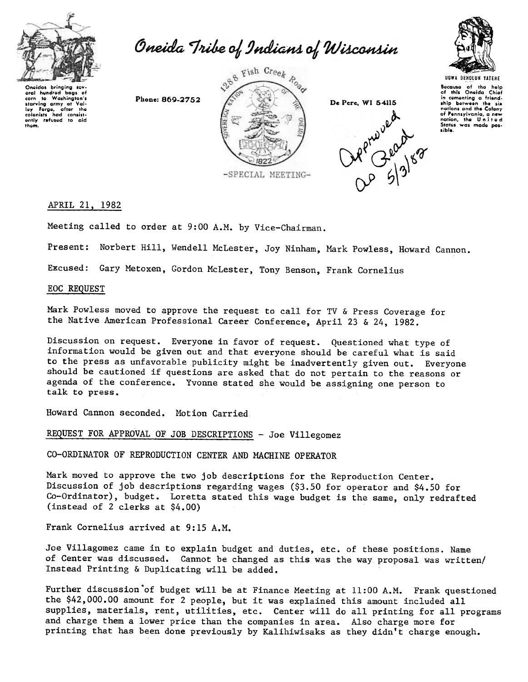

Oneida Tribe of Indians of Wisconsin



Oneidas bringing sev-<br>Grand hundred bags of<br>starving army at Val-<br>Ley Farge, after the<br>colonists had consist-<br>entity refused to aid<br>thom.

Phone: 869-2752



De Pere, WI 54115



Bocause of the help<br>of this Oneida Chiot in cementing a friend<br>ship between the six nations and the Colony of Pennsylvania, a new<br>nation, the United<br>States was made poslible.

## APRIL 21, 1982

Meeting called to order at 9:00 A.M. by Vice-Chairman.

Present: Norbert Hill, Wendell McLester, Joy Ninham, Mark Powless, Howard Cannon.

Excused: Gary Metoxen, Gordon Mclester, Tony Benson, Frank Cornelius

## EOC REQUEST

Mark Powless moved to approve the request to call for TV & Press Coverage for the Native American Professional Career Conference, April 23 & 24, 1982.

Discussion on request. Everyone in favor of request. Questioned what type of information would be given out and that everyone should be careful what is said to the press as unfavorable publicity might be inadvertently given out. Everyone should be cautioned if questions are asked that do not pertain to the reasons or agenda of the conference. Yvonne stated she would be assigning one person to talk to press.

Howard Cannon seconded. Motion Carried

REQUEST FOR APPROVAL OF JOB DESCRIPTIONS - Joe Villegomez

CO-ORDINATOR OF REPRODUCTION CENTER AND MACHINE OPERATOR

Mark moved to approve the two job descriptions for the Reproduction Center. Discussion of job descriptions regarding wages (\$3.50 for operator and \$4.50 for Co-Ordinator), budget. Loretta stated this wage budget is the same, only redrafted (instead of 2 clerks at \$4.00)

Frank Cornelius arrived at 9:15 A.M.

Joe Villagomez came in to explain budget and duties, etc. of these positions. Name of Center was discussed. Cannot be changed as this was the way proposal was written/ Instead Printing & Duplicating will be added.

Further discussion'of budget will be at Finance Meeting at 11:00 A.M, Frank questioned the \$42,000.00 amount for 2 people, but it was explained this amount included all supplies, materials, rent, utilities, etc. Center will do all printing for all programs and charge them a lower price than the companies in area. Also charge more for printing that has been done previously by Kalihiwisaks as they didn't charge enough..